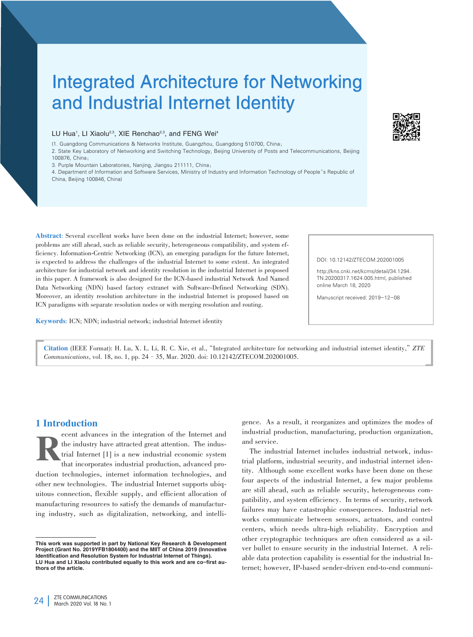# Integrated Architecture for Networking and Industrial Internet Identity

#### LU Hua<sup>1</sup>, LI Xiaolu<sup>2,3</sup>, XIE Renchao<sup>2,3</sup>, and FENG Wei<sup>4</sup>

(1. Guangdong Communications & Networks Institute, Guangzhou, Guangdong 510700, China;

2. State Key Laboratory of Networking and Switching Technology, Beijing University of Posts and Telecommunications, Beijing 100876, China;

3. Purple Mountain Laboratories, Nanjing, Jiangsu 211111, China;

4. Department of Information and Software Services, Ministry of Industry and Information Technology of People's Republic of China, Beijing 100846, China)

Abstract: Several excellent works have been done on the industrial Internet; however, some problems are still ahead, such as reliable security, heterogeneous compatibility, and system efficiency. Information-Centric Networking (ICN), an emerging paradigm for the future Internet, is expected to address the challenges of the industrial Internet to some extent. An integrated architecture for industrial network and identity resolution in the industrial Internet is proposed in this paper. A framework is also designed for the ICN-based industrial Network And Named Data Networking (NDN) based factory extranet with Software-Defined Networking (SDN). Moreover, an identity resolution architecture in the industrial Internet is proposed based on ICN paradigms with separate resolution nodes or with merging resolution and routing.

Keywords: ICN; NDN; industrial network; industrial Internet identity

#### DOI: 10.12142/ZTECOM.202001005

http://kns.cnki.net/kcms/detail/34.1294. TN.20200317.1624.005.html, published online March 18, 2020

Manuscript received: 2019-12-08

Citation (IEEE Format): H. Lu, X. L. Li, R. C. Xie, et al.,"Integrated architecture for networking and industrial internet identity,"*ZTE Communications*, vol. 18, no. 1, pp. 24–35, Mar. 2020. doi: 10.12142/ZTECOM.202001005.

# 1 Introduction

ecent advances in the integration of the Internet and<br>the industry have attracted great attention. The indus-<br>trial Internet [1] is a new industrial economic system<br>that incorporates industrial production, advanced prothe industry have attracted great attention. The industrial Internet [1] is a new industrial economic system that incorporates industrial production, advanced production technologies, internet information technologies, and other new technologies. The industrial Internet supports ubiquitous connection, flexible supply, and efficient allocation of manufacturing resources to satisfy the demands of manufacturing industry, such as digitalization, networking, and intelligence. As a result, it reorganizes and optimizes the modes of industrial production, manufacturing, production organization, and service.

The industrial Internet includes industrial network, industrial platform, industrial security, and industrial internet identity. Although some excellent works have been done on these four aspects of the industrial Internet, a few major problems are still ahead, such as reliable security, heterogeneous compatibility, and system efficiency. In terms of security, network failures may have catastrophic consequences. Industrial networks communicate between sensors, actuators, and control centers, which needs ultra-high reliability. Encryption and other cryptographic techniques are often considered as a silver bullet to ensure security in the industrial Internet. A reliable data protection capability is essential for the industrial Internet; however, IP-based sender-driven end-to-end communi-



This work was supported in part by National Key Research & Development Project (Grant No. 2019YFB1804400) and the MIIT of China 2019 (Innovative Identification and Resolution System for Industrial Internet of Things). LU Hua and LI Xiaolu contributed equally to this work and are co-first authors of the article.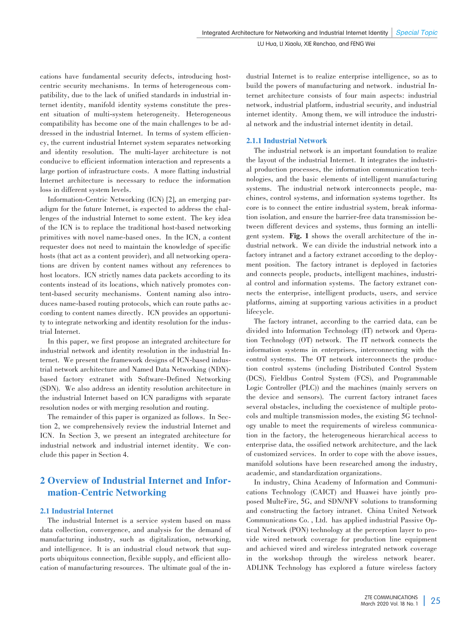cations have fundamental security defects, introducing hostcentric security mechanisms. In terms of heterogeneous compatibility, due to the lack of unified standards in industrial in⁃ ternet identity, manifold identity systems constitute the present situation of multi-system heterogeneity. Heterogeneous compatibility has become one of the main challenges to be addressed in the industrial Internet. In terms of system efficiency, the current industrial Internet system separates networking and identity resolution. The multi-layer architecture is not conducive to efficient information interaction and represents a large portion of infrastructure costs. A more flatting industrial Internet architecture is necessary to reduce the information loss in different system levels.

Information-Centric Networking (ICN) [2], an emerging paradigm for the future Internet, is expected to address the challenges of the industrial Internet to some extent. The key idea of the ICN is to replace the traditional host-based networking primitives with novel name-based ones. In the ICN, a content requester does not need to maintain the knowledge of specific hosts (that act as a content provider), and all networking operations are driven by content names without any references to host locators. ICN strictly names data packets according to its contents instead of its locations, which natively promotes content-based security mechanisms. Content naming also introduces name-based routing protocols, which can route paths according to content names directly. ICN provides an opportunity to integrate networking and identity resolution for the industrial Internet.

In this paper, we first propose an integrated architecture for industrial network and identity resolution in the industrial Internet. We present the framework designs of ICN-based industrial network architecture and Named Data Networking (NDN) based factory extranet with Software-Defined Networking (SDN). We also address an identity resolution architecture in the industrial Internet based on ICN paradigms with separate resolution nodes or with merging resolution and routing.

The remainder of this paper is organized as follows. In Section 2, we comprehensively review the industrial Internet and ICN. In Section 3, we present an integrated architecture for industrial network and industrial internet identity. We conclude this paper in Section 4.

# 2 Overview of Industrial Internet and Information-Centric Networking

# 2.1 Industrial Internet

The industrial Internet is a service system based on mass data collection, convergence, and analysis for the demand of manufacturing industry, such as digitalization, networking, and intelligence. It is an industrial cloud network that supports ubiquitous connection, flexible supply, and efficient allocation of manufacturing resources. The ultimate goal of the industrial Internet is to realize enterprise intelligence, so as to build the powers of manufacturing and network. industrial Internet architecture consists of four main aspects: industrial network, industrial platform, industrial security, and industrial internet identity. Among them, we will introduce the industrial network and the industrial internet identity in detail.

# 2.1.1 Industrial Network

The industrial network is an important foundation to realize the layout of the industrial Internet. It integrates the industrial production processes, the information communication technologies, and the basic elements of intelligent manufacturing systems. The industrial network interconnects people, machines, control systems, and information systems together. Its core is to connect the entire industrial system, break information isolation, and ensure the barrier-free data transmission between different devices and systems, thus forming an intelligent system. Fig. 1 shows the overall architecture of the industrial network. We can divide the industrial network into a factory intranet and a factory extranet according to the deployment position. The factory intranet is deployed in factories and connects people, products, intelligent machines, industrial control and information systems. The factory extranet connects the enterprise, intelligent products, users, and service platforms, aiming at supporting various activities in a product lifecycle.

The factory intranet, according to the carried data, can be divided into Information Technology (IT) network and Operation Technology (OT) network. The IT network connects the information systems in enterprises, interconnecting with the control systems. The OT network interconnects the production control systems (including Distributed Control System (DCS), Fieldbus Control System (FCS), and Programmable Logic Controller (PLC)) and the machines (mainly servers on the device and sensors). The current factory intranet faces several obstacles, including the coexistence of multiple protocols and multiple transmission modes, the existing 5G technology unable to meet the requirements of wireless communication in the factory, the heterogeneous hierarchical access to enterprise data, the ossified network architecture, and the lack of customized services. In order to cope with the above issues, manifold solutions have been researched among the industry, academic, and standardization organizations.

In industry, China Academy of Information and Communications Technology (CAICT) and Huawei have jointly proposed MulteFire, 5G, and SDN/NFV solutions to transforming and constructing the factory intranet. China United Network Communications Co., Ltd. has applied industrial Passive Optical Network (PON) technology at the perception layer to provide wired network coverage for production line equipment and achieved wired and wireless integrated network coverage in the workshop through the wireless network bearer. ADLINK Technology has explored a future wireless factory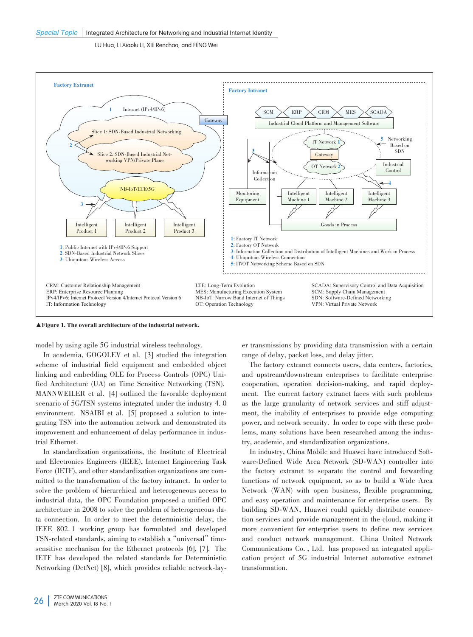

#### ▲Figure 1. The overall architecture of the industrial network.

model by using agile 5G industrial wireless technology.

In academia, GOGOLEV et al. [3] studied the integration scheme of industrial field equipment and embedded object linking and embedding OLE for Process Controls (OPC) Unified Architecture (UA) on Time Sensitive Networking (TSN). MANNWEILER et al. [4] outlined the favorable deployment scenario of 5G/TSN systems integrated under the industry 4. 0 environment. NSAIBI et al. [5] proposed a solution to integrating TSN into the automation network and demonstrated its improvement and enhancement of delay performance in industrial Ethernet.

In standardization organizations, the Institute of Electrical and Electronics Engineers (IEEE), Internet Engineering Task Force (IETF), and other standardization organizations are committed to the transformation of the factory intranet. In order to solve the problem of hierarchical and heterogeneous access to industrial data, the OPC Foundation proposed a unified OPC architecture in 2008 to solve the problem of heterogeneous data connection. In order to meet the deterministic delay, the IEEE 802. 1 working group has formulated and developed TSN-related standards, aiming to establish a "universal" timesensitive mechanism for the Ethernet protocols [6], [7]. The IETF has developed the related standards for Deterministic Networking (DetNet) [8], which provides reliable network-layer transmissions by providing data transmission with a certain range of delay, packet loss, and delay jitter.

The factory extranet connects users, data centers, factories, and upstream/downstream enterprises to facilitate enterprise cooperation, operation decision-making, and rapid deployment. The current factory extranet faces with such problems as the large granularity of network services and stiff adjustment, the inability of enterprises to provide edge computing power, and network security. In order to cope with these problems, many solutions have been researched among the industry, academic, and standardization organizations.

In industry, China Mobile and Huawei have introduced Software-Defined Wide Area Network (SD-WAN) controller into the factory extranet to separate the control and forwarding functions of network equipment, so as to build a Wide Area Network (WAN) with open business, flexible programming, and easy operation and maintenance for enterprise users. By building SD-WAN, Huawei could quickly distribute connection services and provide management in the cloud, making it more convenient for enterprise users to define new services and conduct network management. China United Network Communications Co., Ltd. has proposed an integrated application project of 5G industrial Internet automotive extranet transformation.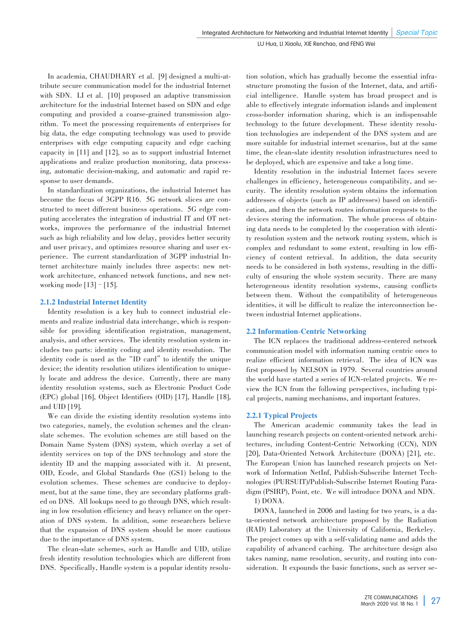In academia, CHAUDHARY et al. [9] designed a multi-attribute secure communication model for the industrial Internet with SDN. LI et al. [10] proposed an adaptive transmission architecture for the industrial Internet based on SDN and edge computing and provided a coarse-grained transmission algorithm. To meet the processing requirements of enterprises for big data, the edge computing technology was used to provide enterprises with edge computing capacity and edge caching capacity in [11] and [12], so as to support industrial Internet applications and realize production monitoring, data processing, automatic decision-making, and automatic and rapid re⁃ sponse to user demands.

In standardization organizations, the industrial Internet has become the focus of 3GPP R16. 5G network slices are constructed to meet different business operations. 5G edge computing accelerates the integration of industrial IT and OT networks, improves the performance of the industrial Internet such as high reliability and low delay, provides better security and user privacy, and optimizes resource sharing and user experience. The current standardization of 3GPP industrial Internet architecture mainly includes three aspects: new network architecture, enhanced network functions, and new networking mode  $[13]$  –  $[15]$ .

## 2.1.2 Industrial Internet Identity

Identity resolution is a key hub to connect industrial elements and realize industrial data interchange, which is responsible for providing identification registration, management, analysis, and other services. The identity resolution system includes two parts: identity coding and identity resolution. The identity code is used as the "ID card" to identify the unique device; the identity resolution utilizes identification to uniquely locate and address the device. Currently, there are many identity resolution systems, such as Electronic Product Code (EPC) global [16], Object Identifiers (OID) [17], Handle [18], and UID [19].

We can divide the existing identity resolution systems into two categories, namely, the evolution schemes and the cleanslate schemes. The evolution schemes are still based on the Domain Name System (DNS) system, which overlay a set of identity services on top of the DNS technology and store the identity ID and the mapping associated with it. At present, OID, Ecode, and Global Standards One (GS1) belong to the evolution schemes. These schemes are conducive to deployment, but at the same time, they are secondary platforms grafted on DNS. All lookups need to go through DNS, which resulting in low resolution efficiency and heavy reliance on the operation of DNS system. In addition, some researchers believe that the expansion of DNS system should be more cautious due to the importance of DNS system.

The clean-slate schemes, such as Handle and UID, utilize fresh identity resolution technologies which are different from DNS. Specifically, Handle system is a popular identity resolution solution, which has gradually become the essential infrastructure promoting the fusion of the Internet, data, and artificial intelligence. Handle system has broad prospect and is able to effectively integrate information islands and implement cross-border information sharing, which is an indispensable technology to the future development. These identity resolution technologies are independent of the DNS system and are more suitable for industrial internet scenarios, but at the same time, the clean-slate identity resolution infrastructures need to be deployed, which are expensive and take a long time.

Identity resolution in the industrial Internet faces severe challenges in efficiency, heterogeneous compatibility, and security. The identity resolution system obtains the information addresses of objects (such as IP addresses) based on identification, and then the network routes information requests to the devices storing the information. The whole process of obtaining data needs to be completed by the cooperation with identity resolution system and the network routing system, which is complex and redundant to some extent, resulting in low efficiency of content retrieval. In addition, the data security needs to be considered in both systems, resulting in the difficulty of ensuring the whole system security. There are many heterogeneous identity resolution systems, causing conflicts between them. Without the compatibility of heterogeneous identities, it will be difficult to realize the interconnection between industrial Internet applications.

## 2.2 Information-Centric Networking

The ICN replaces the traditional address-centered network communication model with information naming centric ones to realize efficient information retrieval. The idea of ICN was first proposed by NELSON in 1979. Several countries around the world have started a series of ICN-related projects. We review the ICN from the following perspectives, including typical projects, naming mechanisms, and important features.

## 2.2.1 Typical Projects

The American academic community takes the lead in launching research projects on content-oriented network architectures, including Content-Centric Networking (CCN), NDN [20], Data-Oriented Network Architecture (DONA) [21], etc. The European Union has launched research projects on Network of Information NetInf, Publish-Subscribe Internet Technologies (PURSUIT)/Publish-Subscribe Internet Routing Paradigm (PSIRP), Point, etc. We will introduce DONA and NDN. 1) DONA.

DONA, launched in 2006 and lasting for two years, is a data-oriented network architecture proposed by the Radiation (RAD) Laboratory at the University of California, Berkeley. The project comes up with a self-validating name and adds the capability of advanced caching. The architecture design also takes naming, name resolution, security, and routing into consideration. It expounds the basic functions, such as server se-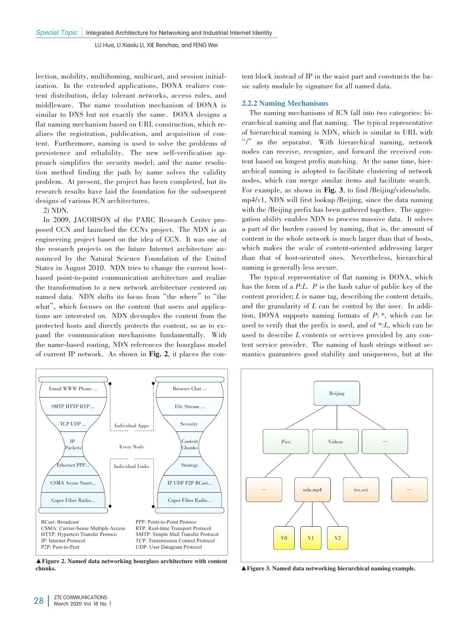lection, mobility, multihoming, multicast, and session initial ization. In the extended applications, DONA realizes content distribution, delay tolerant networks, access rules, and middleware. The name resolution mechanism of DONA is similar to DNS but not exactly the same. DONA designs a flat naming mechanism based on URL construction, which realizes the registration, publication, and acquisition of content. Furthermore, naming is used to solve the problems of persistence and reliability. The new self-verification approach simplifies the security model; and the name resolution method finding the path by name solves the validity problem. At present, the project has been completed, but its research results have laid the foundation for the subsequent designs of various ICN architectures.

#### 2) NDN.

In 2009, JACOBSON of the PARC Research Center proposed CCN and launched the CCNx project. The NDN is an engineering project based on the idea of CCN. It was one of the research projects on the future Internet architecture announced by the Natural Science Foundation of the United States in August 2010. NDN tries to change the current hostbased point-to-point communication architecture and realize the transformation to a new network architecture centered on named data. NDN shifts its focus from "the where" to "the what", which focuses on the content that users and applications are interested on. NDN decouples the content from the protected hosts and directly protects the content, so as to expand the communication mechanisms fundamentally. With the name-based routing, NDN references the hourglass model of current IP network. As shown in Fig. 2, it places the con-



▲Figure 2. Named data networking hourglass architecture with content chunks.

tent block instead of IP in the waist part and constructs the basic safety module by signature for all named data.

#### 2.2.2 Naming Mechanisms

The naming mechanisms of ICN fall into two categories: hierarchical naming and flat naming. The typical representative of hierarchical naming is NDN, which is similar to URL with "/"as the separator. With hierarchical naming, network nodes can receive, recognize, and forward the received content based on longest prefix matching. At the same time, hierarchical naming is adopted to facilitate clustering of network nodes, which can merge similar items and facilitate search. For example, as shown in Fig. 3, to find /Beijing/videos/ndn. mp4/v1, NDN will first lookup /Beijing, since the data naming with the /Beijing prefix has been gathered together. The aggregation ability enables NDN to process massive data. It solves a part of the burden caused by naming, that is, the amount of content in the whole network is much larger than that of hosts, which makes the scale of content-oriented addressing larger than that of host-oriented ones. Nevertheless, hierarchical naming is generally less secure.

The typical representative of flat naming is DONA, which has the form of a *P*:*L*. *P* is the hash value of public key of the content provider; *L* is name tag, describing the content details, and the granularity of *L* can be control by the user. In addition, DONA supports naming formats of *P*: *\**, which can be used to verify that the prefix is used, and of *\**:*L*, which can be used to describe *L* contents or services provided by any content service provider. The naming of hash strings without semantics guarantees good stability and uniqueness, but at the



▲Figure 3. Named data networking hierarchical naming example.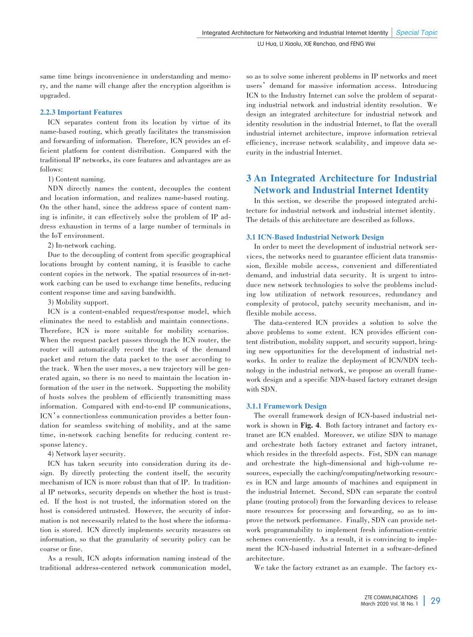same time brings inconvenience in understanding and memory, and the name will change after the encryption algorithm is upgraded.

# 2.2.3 Important Features

ICN separates content from its location by virtue of its name-based routing, which greatly facilitates the transmission and forwarding of information. Therefore, ICN provides an efficient platform for content distribution. Compared with the traditional IP networks, its core features and advantages are as follows:

1) Content naming.

NDN directly names the content, decouples the content and location information, and realizes name-based routing. On the other hand, since the address space of content naming is infinite, it can effectively solve the problem of IP address exhaustion in terms of a large number of terminals in the IoT environment.

2) In-network caching.

Due to the decoupling of content from specific geographical locations brought by content naming, it is feasible to cache content copies in the network. The spatial resources of in-network caching can be used to exchange time benefits, reducing content response time and saving bandwidth.

3) Mobility support.

ICN is a content-enabled request/response model, which eliminates the need to establish and maintain connections. Therefore, ICN is more suitable for mobility scenarios. When the request packet passes through the ICN router, the router will automatically record the track of the demand packet and return the data packet to the user according to the track. When the user moves, a new trajectory will be generated again, so there is no need to maintain the location information of the user in the network. Supporting the mobility of hosts solves the problem of efficiently transmitting mass information. Compared with end-to-end IP communications, ICN's connectionless communication provides a better foundation for seamless switching of mobility, and at the same time, in-network caching benefits for reducing content response latency.

4) Network layer security.

ICN has taken security into consideration during its design. By directly protecting the content itself, the security mechanism of ICN is more robust than that of IP. In traditional IP networks, security depends on whether the host is trusted. If the host is not trusted, the information stored on the host is considered untrusted. However, the security of information is not necessarily related to the host where the information is stored. ICN directly implements security measures on information, so that the granularity of security policy can be coarse or fine.

As a result, ICN adopts information naming instead of the traditional address-centered network communication model, so as to solve some inherent problems in IP networks and meet users' demand for massive information access. Introducing ICN to the Industry Internet can solve the problem of separating industrial network and industrial identity resolution. We design an integrated architecture for industrial network and identity resolution in the industrial Internet, to flat the overall industrial internet architecture, improve information retrieval efficiency, increase network scalability, and improve data security in the industrial Internet.

# 3 An Integrated Architecture for Industrial Network and Industrial Internet Identity

In this section, we describe the proposed integrated architecture for industrial network and industrial internet identity. The details of this architecture are described as follows.

# 3.1 ICN-Based Industrial Network Design

In order to meet the development of industrial network services, the networks need to guarantee efficient data transmission, flexible mobile access, convenient and differentiated demand, and industrial data security. It is urgent to introduce new network technologies to solve the problems including low utilization of network resources, redundancy and complexity of protocol, patchy security mechanism, and inflexible mobile access.

The data-centered ICN provides a solution to solve the above problems to some extent. ICN provides efficient content distribution, mobility support, and security support, bringing new opportunities for the development of industrial networks. In order to realize the deployment of ICN/NDN technology in the industrial network, we propose an overall framework design and a specific NDN-based factory extranet design with SDN.

# 3.1.1 Framework Design

The overall framework design of ICN-based industrial network is shown in Fig. 4. Both factory intranet and factory extranet are ICN enabled. Moreover, we utilize SDN to manage and orchestrate both factory extranet and factory intranet, which resides in the threefold aspects. Fist, SDN can manage and orchestrate the high-dimensional and high-volume resources, especially the caching/computing/networking resourc es in ICN and large amounts of machines and equipment in the industrial Internet. Second, SDN can separate the control plane (routing protocol) from the forwarding devices to release more resources for processing and forwarding, so as to improve the network performance. Finally, SDN can provide network programmability to implement fresh information-centric schemes conveniently. As a result, it is convincing to implement the ICN-based industrial Internet in a software-defined architecture.

We take the factory extranet as an example. The factory ex-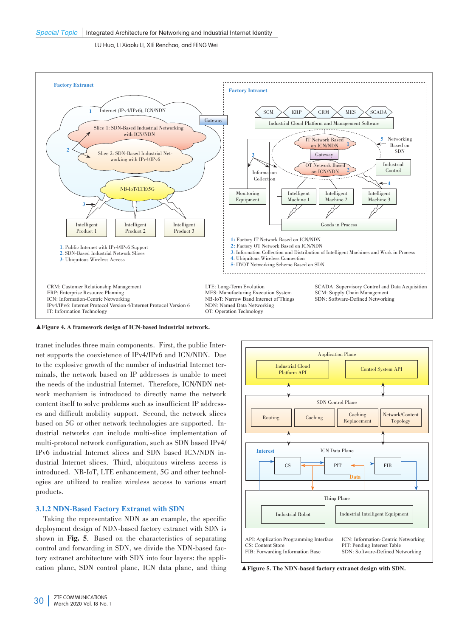

▲Figure 4. A framework design of ICN-based industrial network.

tranet includes three main components. First, the public Internet supports the coexistence of IPv4/IPv6 and ICN/NDN. Due to the explosive growth of the number of industrial Internet terminals, the network based on IP addresses is unable to meet the needs of the industrial Internet. Therefore, ICN/NDN network mechanism is introduced to directly name the network content itself to solve problems such as insufficient IP addresses and difficult mobility support. Second, the network slices based on 5G or other network technologies are supported. Industrial networks can include multi-slice implementation of multi-protocol network configuration, such as SDN based IPv4/ IPv6 industrial Internet slices and SDN based ICN/NDN in⁃ dustrial Internet slices. Third, ubiquitous wireless access is introduced. NB-IoT, LTE enhancement, 5G and other technologies are utilized to realize wireless access to various smart products.

## 3.1.2 NDN-Based Factory Extranet with SDN

Taking the representative NDN as an example, the specific deployment design of NDN-based factory extranet with SDN is shown in Fig. 5. Based on the characteristics of separating control and forwarding in SDN, we divide the NDN-based factory extranet architecture with SDN into four layers: the application plane, SDN control plane, ICN data plane, and thing

![](_page_6_Figure_7.jpeg)

▲Figure 5. The NDN-based factory extranet design with SDN.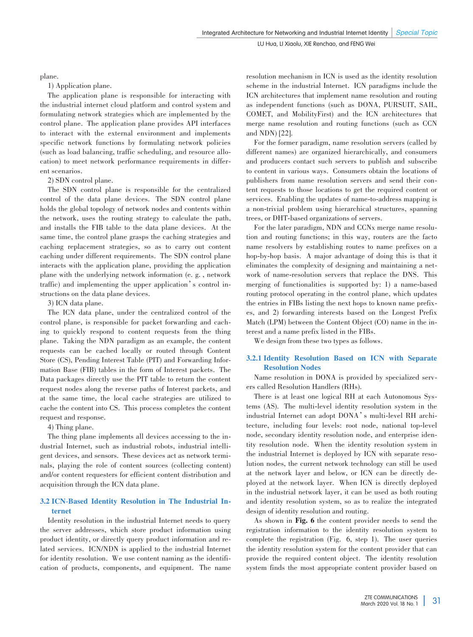plane.

1) Application plane.

The application plane is responsible for interacting with the industrial internet cloud platform and control system and formulating network strategies which are implemented by the control plane. The application plane provides API interfaces to interact with the external environment and implements specific network functions by formulating network policies (such as load balancing, traffic scheduling, and resource allocation) to meet network performance requirements in different scenarios.

2) SDN control plane.

The SDN control plane is responsible for the centralized control of the data plane devices. The SDN control plane holds the global topology of network nodes and contents within the network, uses the routing strategy to calculate the path, and installs the FIB table to the data plane devices. At the same time, the control plane grasps the caching strategies and caching replacement strategies, so as to carry out content caching under different requirements. The SDN control plane interacts with the application plane, providing the application plane with the underlying network information (e. g. , network traffic) and implementing the upper application's control instructions on the data plane devices.

3) ICN data plane.

The ICN data plane, under the centralized control of the control plane, is responsible for packet forwarding and caching to quickly respond to content requests from the thing plane. Taking the NDN paradigm as an example, the content requests can be cached locally or routed through Content Store (CS), Pending Interest Table (PIT) and Forwarding Information Base (FIB) tables in the form of Interest packets. The Data packages directly use the PIT table to return the content request nodes along the reverse paths of Interest packets, and at the same time, the local cache strategies are utilized to cache the content into CS. This process completes the content request and response.

4) Thing plane.

The thing plane implements all devices accessing to the industrial Internet, such as industrial robots, industrial intelligent devices, and sensors. These devices act as network terminals, playing the role of content sources (collecting content) and/or content requesters for efficient content distribution and acquisition through the ICN data plane.

# 3.2 ICN-Based Identity Resolution in The Industrial Internet

Identity resolution in the industrial Internet needs to query the server addresses, which store product information using product identity, or directly query product information and re⁃ lated services. ICN/NDN is applied to the industrial Internet for identity resolution. We use content naming as the identification of products, components, and equipment. The name resolution mechanism in ICN is used as the identity resolution scheme in the industrial Internet. ICN paradigms include the ICN architectures that implement name resolution and routing as independent functions (such as DONA, PURSUIT, SAIL, COMET, and MobilityFirst) and the ICN architectures that merge name resolution and routing functions (such as CCN and NDN) [22].

For the former paradigm, name resolution servers (called by different names) are organized hierarchically, and consumers and producers contact such servers to publish and subscribe to content in various ways. Consumers obtain the locations of publishers from name resolution servers and send their content requests to those locations to get the required content or services. Enabling the updates of name-to-address mapping is a non-trivial problem using hierarchical structures, spanning trees, or DHT-based organizations of servers.

For the later paradigm, NDN and CCN<sub>x</sub> merge name resolution and routing functions; in this way, routers are the facto name resolvers by establishing routes to name prefixes on a hop-by-hop basis. A major advantage of doing this is that it eliminates the complexity of designing and maintaining a network of name-resolution servers that replace the DNS. This merging of functionalities is supported by: 1) a name-based routing protocol operating in the control plane, which updates the entries in FIBs listing the next hops to known name prefixes, and 2) forwarding interests based on the Longest Prefix Match (LPM) between the Content Object (CO) name in the interest and a name prefix listed in the FIBs.

We design from these two types as follows.

# 3.2.1 Identity Resolution Based on ICN with Separate Resolution Nodes

Name resolution in DONA is provided by specialized servers called Resolution Handlers (RHs).

There is at least one logical RH at each Autonomous Systems (AS). The multi-level identity resolution system in the industrial Internet can adopt DONA's multi-level RH architecture, including four levels: root node, national top-level node, secondary identity resolution node, and enterprise identity resolution node. When the identity resolution system in the industrial Internet is deployed by ICN with separate resolution nodes, the current network technology can still be used at the network layer and below, or ICN can be directly deployed at the network layer. When ICN is directly deployed in the industrial network layer, it can be used as both routing and identity resolution system, so as to realize the integrated design of identity resolution and routing.

As shown in Fig. 6 the content provider needs to send the registration information to the identity resolution system to complete the registration (Fig. 6, step 1). The user queries the identity resolution system for the content provider that can provide the required content object. The identity resolution system finds the most appropriate content provider based on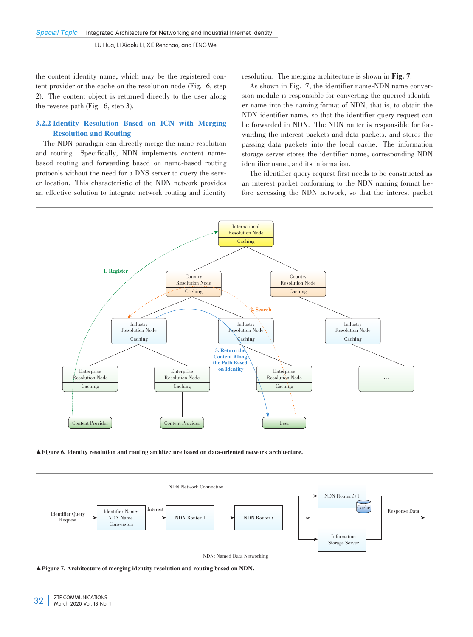the content identity name, which may be the registered content provider or the cache on the resolution node (Fig. 6, step 2). The content object is returned directly to the user along the reverse path (Fig. 6, step 3).

# 3.2.2 Identity Resolution Based on ICN with Merging Resolution and Routing

The NDN paradigm can directly merge the name resolution and routing. Specifically, NDN implements content namebased routing and forwarding based on name-based routing protocols without the need for a DNS server to query the server location. This characteristic of the NDN network provides an effective solution to integrate network routing and identity resolution. The merging architecture is shown in Fig. 7.

As shown in Fig. 7, the identifier name-NDN name conversion module is responsible for converting the queried identifier name into the naming format of NDN, that is, to obtain the NDN identifier name, so that the identifier query request can be forwarded in NDN. The NDN router is responsible for forwarding the interest packets and data packets, and stores the passing data packets into the local cache. The information storage server stores the identifier name, corresponding NDN identifier name, and its information.

The identifier query request first needs to be constructed as an interest packet conforming to the NDN naming format before accessing the NDN network, so that the interest packet

![](_page_8_Figure_8.jpeg)

▲Figure 6. Identity resolution and routing architecture based on data-oriented network architecture.

![](_page_8_Figure_10.jpeg)

▲Figure 7. Architecture of merging identity resolution and routing based on NDN.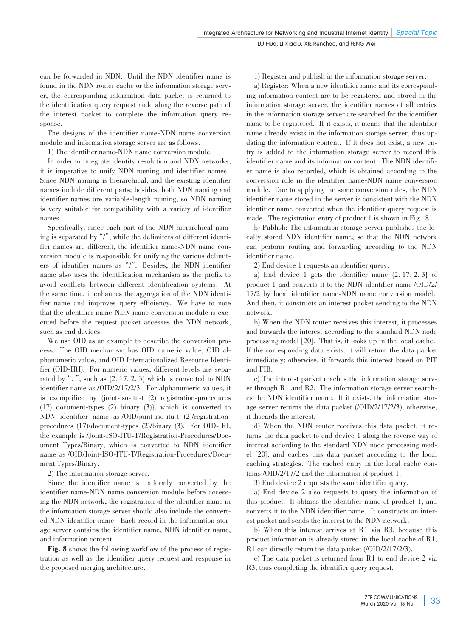can be forwarded in NDN. Until the NDN identifier name is found in the NDN router cache or the information storage server, the corresponding information data packet is returned to the identification query request node along the reverse path of the interest packet to complete the information query response.

The designs of the identifier name-NDN name conversion module and information storage server are as follows.

1) The identifier name-NDN name conversion module.

In order to integrate identity resolution and NDN networks, it is imperative to unify NDN naming and identifier names. Since NDN naming is hierarchical, and the existing identifier names include different parts; besides, both NDN naming and identifier names are variable-length naming, so NDN naming is very suitable for compatibility with a variety of identifier names.

Specifically, since each part of the NDN hierarchical naming is separated by  $\frac{m}{n}$ , while the delimiters of different identifier names are different, the identifier name-NDN name conversion module is responsible for unifying the various delimiters of identifier names as"/". Besides, the NDN identifier name also uses the identification mechanism as the prefix to avoid conflicts between different identification systems. At the same time, it enhances the aggregation of the NDN identifier name and improves query efficiency. We have to note that the identifier name-NDN name conversion module is executed before the request packet accesses the NDN network, such as end devices.

We use OID as an example to describe the conversion process. The OID mechanism has OID numeric value, OID alphanumeric value, and OID Internationalized Resource Identifier (OID-IRI). For numeric values, different levels are separated by ". ", such as  $\{2, 17, 2, 3\}$  which is converted to NDN identifier name as /OID/2/17/2/3. For alphanumeric values, it is exemplified by {joint-iso-itu-t (2) registration-procedures (17) document-types (2) binary (3)}, which is converted to NDN identifier name as /OID/joint-iso-itu-t (2)/registrationprocedures (17)/document-types (2)/binary (3). For OID-IRI, the example is /Joint-ISO-ITU-T/Registration-Procedures/Document Types/Binary, which is converted to NDN identifier name as /OID/Joint-ISO-ITU-T/Registration-Procedures/Document Types/Binary.

2) The information storage server.

Since the identifier name is uniformly converted by the identifier name-NDN name conversion module before accessing the NDN network, the registration of the identifier name in the information storage server should also include the converted NDN identifier name. Each record in the information storage server contains the identifier name, NDN identifier name, and information content.

Fig. 8 shows the following workflow of the process of registration as well as the identifier query request and response in the proposed merging architecture.

1) Register and publish in the information storage server.

a) Register: When a new identifier name and its corresponding information content are to be registered and stored in the information storage server, the identifier names of all entries in the information storage server are searched for the identifier name to be registered. If it exists, it means that the identifier name already exists in the information storage server, thus updating the information content. If it does not exist, a new entry is added to the information storage server to record this identifier name and its information content. The NDN identifier name is also recorded, which is obtained according to the conversion rule in the identifier name-NDN name conversion module. Due to applying the same conversion rules, the NDN identifier name stored in the server is consistent with the NDN identifier name converted when the identifier query request is made. The registration entry of product 1 is shown in Fig. 8.

b) Publish: The information storage server publishes the locally stored NDN identifier name, so that the NDN network can perform routing and forwarding according to the NDN identifier name.

2) End device 1 requests an identifier query.

a) End device 1 gets the identifier name {2. 17. 2. 3} of product 1 and converts it to the NDN identifier name /OID/2/ 17/2 by local identifier name-NDN name conversion model. And then, it constructs an interest packet sending to the NDN network.

b) When the NDN router receives this interest, it processes and forwards the interest according to the standard NDN node processing model [20]. That is, it looks up in the local cache. If the corresponding data exists, it will return the data packet immediately; otherwise, it forwards this interest based on PIT and FIB.

c) The interest packet reaches the information storage server through R1 and R2. The information storage server searches the NDN identifier name. If it exists, the information storage server returns the data packet (/OID/2/17/2/3); otherwise, it discards the interest.

d) When the NDN router receives this data packet, it re turns the data packet to end device 1 along the reverse way of interest according to the standard NDN node processing model [20], and caches this data packet according to the local caching strategies. The cached entry in the local cache contains /OID/2/17/2 and the information of product 1.

3) End device 2 requests the same identifier query.

a) End device 2 also requests to query the information of this product. It obtains the identifier name of product 1, and converts it to the NDN identifier name. It constructs an interest packet and sends the interest to the NDN network.

b) When this interest arrives at R1 via R3, because this product information is already stored in the local cache of R1, R1 can directly return the data packet (/OID/2/17/2/3).

c) The data packet is returned from R1 to end device 2 via R3, thus completing the identifier query request.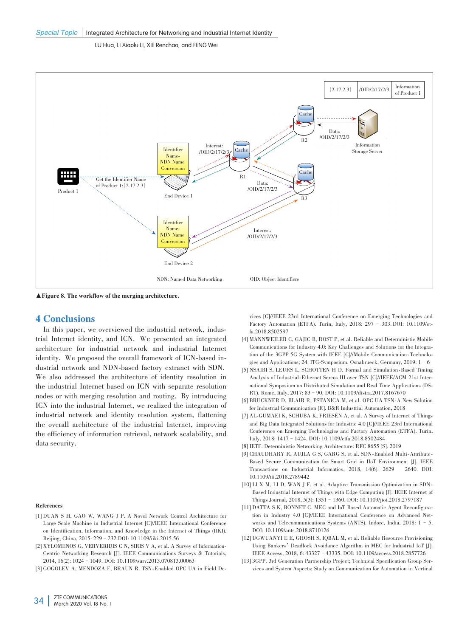![](_page_10_Figure_2.jpeg)

▲Figure 8. The workflow of the merging architecture.

# 4 Conclusions

In this paper, we overviewed the industrial network, industrial Internet identity, and ICN. We presented an integrated architecture for industrial network and industrial Internet identity. We proposed the overall framework of ICN-based industrial network and NDN-based factory extranet with SDN. We also addressed the architecture of identity resolution in the industrial Internet based on ICN with separate resolution nodes or with merging resolution and routing. By introducing ICN into the industrial Internet, we realized the integration of industrial network and identity resolution system, flattening the overall architecture of the industrial Internet, improving the efficiency of information retrieval, network scalability, and data security.

#### References

- [1] DUAN S H, GAO W, WANG J P. A Novel Network Control Architecture for Large Scale Machine in Industrial Internet [C]//IEEE International Conference on Identification, Information, and Knowledge in the Internet of Things (IIKI). Beijing, China, 2015: 229–232.DOI: 10.1109/iiki.2015.56
- [2] XYLOMENOS G, VERVERIDIS C N, SIRIS V A, et al. A Survey of Information-Centric Networking Research [J]. IEEE Communications Surveys & Tutorials, 2014, 16(2): 1024–1049. DOI: 10.1109/surv.2013.070813.00063

[3] GOGOLEV A, MENDOZA F, BRAUN R. TSN-Enabled OPC UA in Field De-

vices [C]//IEEE 23rd International Conference on Emerging Technologies and Factory Automation (ETFA). Turin, Italy, 2018: 297 - 303. DOI: 10.1109/etfa.2018.8502597

- [4] MANNWEILER C, GAJIC B, ROST P, et al. Reliable and Deterministic Mobile Communications for Industry 4.0: Key Challenges and Solutions for the Integration of the 3GPP 5G System with IEEE [C]//Mobile Communication-Technologies and Applications; 24. ITG-Symposium. Osnabrueck, Germany, 2019: 1 - 6
- [5] NSAIBI S, LEURS L, SCHOTTEN H D. Formal and Simulation-Based Timing Analysis of Industrial-Ethernet Sercos III over TSN [C]//IEEE/ACM 21st International Symposium on Distributed Simulation and Real Time Applications (DS-RT). Rome, Italy, 2017: 83–90. DOI: 10.1109/distra.2017.8167670
- [6] BRUCKNER D, BLAIR R, PSTANICA M, et al. OPC UA TSN-A New Solution for Industrial Communication [R]. B&R Industrial Automation, 2018
- [7] AL-GUMAEI K, SCHUBA K, FRIESEN A, et al. A Survey of Internet of Things and Big Data Integrated Solutions for Industrie 4.0 [C]//IEEE 23rd International Conference on Emerging Technologies and Factory Automation (ETFA). Turin, Italy, 2018: 1417–1424. DOI: 10.1109/etfa.2018.8502484
- [8] IETF. Deterministic Networking Architecture: RFC 8655 [S]. 2019
- [9] CHAUDHARY R, AUJLA G S, GARG S, et al. SDN-Enabled Multi-Attribute-Based Secure Communication for Smart Grid in IIoT Environment [J]. IEEE Transactions on Industrial Informatics, 2018, 14(6): 2629 – 2640. DOI: 10.1109/tii.2018.2789442
- [10] LI X M, LI D, WAN J F, et al. Adaptive Transmission Optimization in SDN-Based Industrial Internet of Things with Edge Computing [J]. IEEE Internet of Things Journal, 2018, 5(3): 1351–1360. DOI: 10.1109/jiot.2018.2797187
- [11] DATTA S K, BONNET C. MEC and IoT Based Automatic Agent Reconfiguration in Industry 4.0 [C]//IEEE International Conference on Advanced Networks and Telecommunications Systems (ANTS). Indore, India, 2018: 1–5. DOI: 10.1109/ants.2018.8710126
- [12] UGWUANYI E E, GHOSH S, IQBAL M, et al. Reliable Resource Provisioning Using Bankers'Deadlock Avoidance Algorithm in MEC for Industrial IoT [J]. IEEE Access, 2018, 6: 43327–43335. DOI: 10.1109/access.2018.2857726
- [13] 3GPP. 3rd Generation Partnership Project; Technical Specification Group Services and System Aspects; Study on Communication for Automation in Vertical